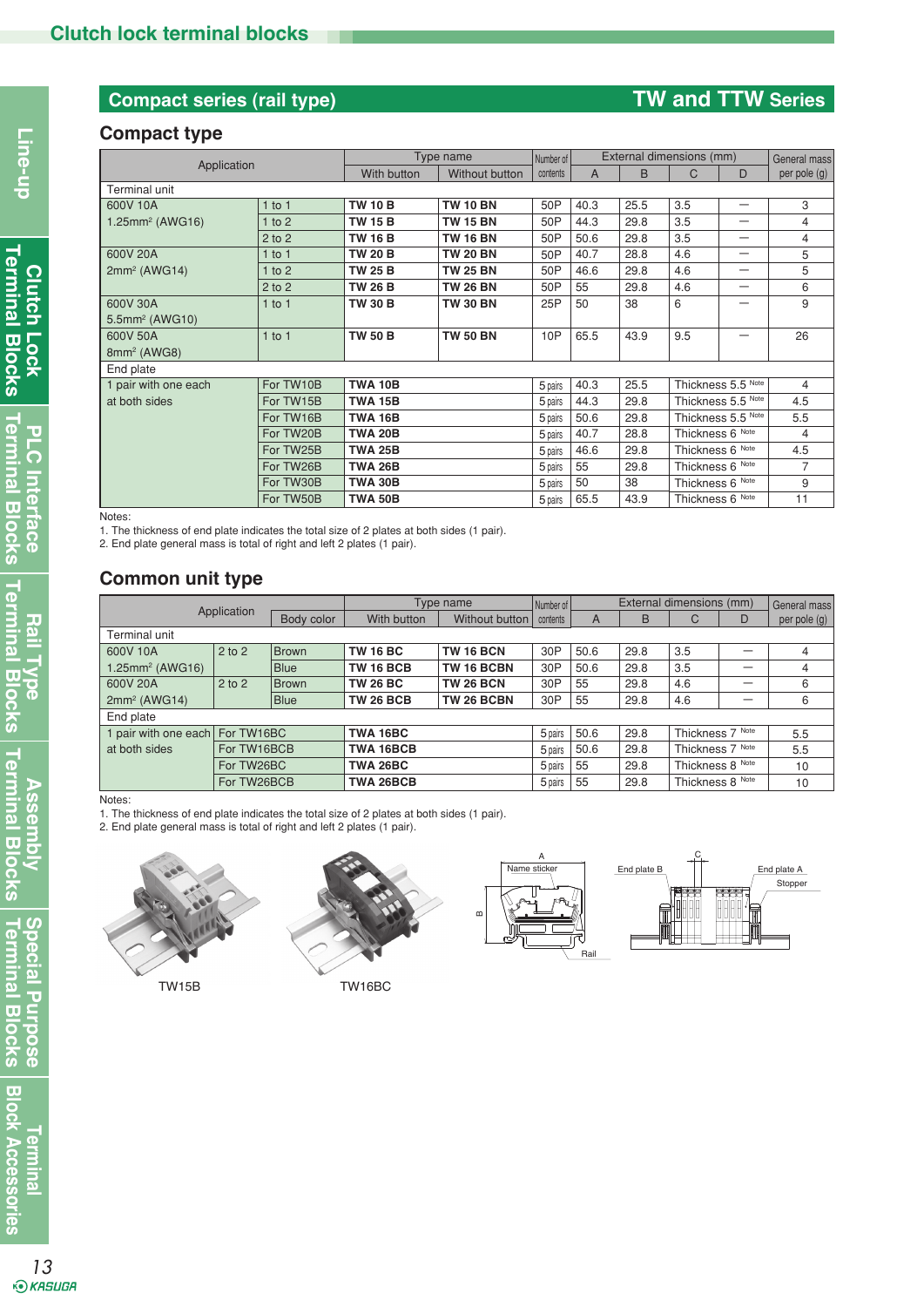### **Compact series (rail type)**

# **TW and TTW Series**

#### **Compact type**

| Application                 |            | Type name      |                 | Number of | External dimensions (mm) |      |                             |                          | General mass   |
|-----------------------------|------------|----------------|-----------------|-----------|--------------------------|------|-----------------------------|--------------------------|----------------|
|                             |            | With button    | Without button  | contents  | $\overline{A}$           | B    | C                           | D                        | per pole (g)   |
| Terminal unit               |            |                |                 |           |                          |      |                             |                          |                |
| 600V 10A                    | $1$ to $1$ | <b>TW 10 B</b> | <b>TW 10 BN</b> | 50P       | 40.3                     | 25.5 | 3.5                         | $\overline{\phantom{0}}$ | 3              |
| 1.25mm <sup>2</sup> (AWG16) | 1 to $2$   | <b>TW 15 B</b> | <b>TW 15 BN</b> | 50P       | 44.3                     | 29.8 | 3.5                         | $\overline{\phantom{0}}$ | $\overline{4}$ |
|                             | $2$ to $2$ | <b>TW 16 B</b> | <b>TW 16 BN</b> | 50P       | 50.6                     | 29.8 | 3.5                         | $\overline{\phantom{0}}$ | 4              |
| 600V 20A                    | $1$ to $1$ | <b>TW 20 B</b> | <b>TW 20 BN</b> | 50P       | 40.7                     | 28.8 | 4.6                         | $\overline{\phantom{0}}$ | 5              |
| 2mm <sup>2</sup> (AWG14)    | 1 to $2$   | <b>TW 25 B</b> | <b>TW 25 BN</b> | 50P       | 46.6                     | 29.8 | 4.6                         | $\overline{\phantom{0}}$ | 5              |
|                             | $2$ to $2$ | <b>TW 26 B</b> | <b>TW 26 BN</b> | 50P       | 55                       | 29.8 | 4.6                         | $\overline{\phantom{0}}$ | 6              |
| 600V 30A                    | $1$ to $1$ | <b>TW 30 B</b> | <b>TW 30 BN</b> | 25P       | 50                       | 38   | 6                           |                          | 9              |
| 5.5mm <sup>2</sup> (AWG10)  |            |                |                 |           |                          |      |                             |                          |                |
| 600V 50A                    | $1$ to $1$ | <b>TW 50 B</b> | <b>TW 50 BN</b> | 10P       | 65.5                     | 43.9 | 9.5                         | $\overline{\phantom{0}}$ | 26             |
| 8mm <sup>2</sup> (AWG8)     |            |                |                 |           |                          |      |                             |                          |                |
| End plate                   |            |                |                 |           |                          |      |                             |                          |                |
| 1 pair with one each        | For TW10B  | <b>TWA 10B</b> |                 | 5 pairs   | 40.3                     | 25.5 |                             | Thickness 5.5 Note       | $\overline{4}$ |
| at both sides               | For TW15B  | <b>TWA 15B</b> |                 | 5 pairs   | 44.3                     | 29.8 |                             | Thickness 5.5 Note       | 4.5            |
|                             | For TW16B  | <b>TWA 16B</b> |                 | 5 pairs   | 50.6                     | 29.8 |                             | Thickness 5.5 Note       | 5.5            |
|                             | For TW20B  | <b>TWA 20B</b> |                 | 5 pairs   | 40.7                     | 28.8 | Thickness 6 <sup>Note</sup> |                          | 4              |
|                             | For TW25B  | <b>TWA 25B</b> |                 | 5 pairs   | 46.6                     | 29.8 | Thickness 6 <sup>Note</sup> |                          | 4.5            |
|                             | For TW26B  | <b>TWA 26B</b> |                 | 5 pairs   | 55                       | 29.8 | Thickness 6 <sup>Note</sup> |                          | $\overline{7}$ |
|                             | For TW30B  | <b>TWA 30B</b> |                 | 5 pairs   | 50                       | 38   | Thickness 6 <sup>Note</sup> |                          | 9              |
|                             | For TW50B  | <b>TWA 50B</b> |                 | 5 pairs   | 65.5                     | 43.9 | Thickness 6 <sup>Note</sup> |                          | 11             |

Notes:

1. The thickness of end plate indicates the total size of 2 plates at both sides (1 pair).

2. End plate general mass is total of right and left 2 plates (1 pair).

#### **Common unit type**

| Application<br>Body color      |             | Type name    |                  | Number of        |         |      | External dimensions (mm) |                             | General mass |     |
|--------------------------------|-------------|--------------|------------------|------------------|---------|------|--------------------------|-----------------------------|--------------|-----|
|                                |             | With button  | Without button   | contents         | A       | B    | C                        | D                           | per pole (g) |     |
| Terminal unit                  |             |              |                  |                  |         |      |                          |                             |              |     |
| 600V 10A                       | $2$ to $2$  | <b>Brown</b> | <b>TW 16 BC</b>  | <b>TW 16 BCN</b> | 30P     | 50.6 | 29.8                     | 3.5                         |              | 4   |
| $1.25$ mm <sup>2</sup> (AWG16) |             | <b>Blue</b>  | <b>TW 16 BCB</b> | TW 16 BCBN       | 30P     | 50.6 | 29.8                     | 3.5                         |              | 4   |
| 600V 20A                       | $2$ to $2$  | <b>Brown</b> | <b>TW 26 BC</b>  | <b>TW 26 BCN</b> | 30P     | 55   | 29.8                     | 4.6                         |              | 6   |
| 2mm <sup>2</sup> (AWG14)       |             | <b>Blue</b>  | <b>TW 26 BCB</b> | TW 26 BCBN       | 30P     | 55   | 29.8                     | 4.6                         |              | 6   |
| End plate                      |             |              |                  |                  |         |      |                          |                             |              |     |
| 1 pair with one each           | For TW16BC  |              | TWA 16BC         |                  | 5 pairs | 50.6 | 29.8                     | Thickness 7 Note            |              | 5.5 |
| at both sides                  | For TW16BCB |              | TWA 16BCB        |                  | 5 pairs | 50.6 | 29.8                     | Thickness 7 Note            |              | 5.5 |
|                                | For TW26BC  |              | TWA 26BC         |                  | 5 pairs | 55   | 29.8                     | Thickness 8 Note            |              | 10  |
|                                | For TW26BCB | TWA 26BCB    |                  |                  | 5 pairs | 55   | 29.8                     | Thickness 8 <sup>Note</sup> |              | 10  |

Notes:

1. The thickness of end plate indicates the total size of 2 plates at both sides (1 pair).

2. End plate general mass is total of right and left 2 plates (1 pair).









**Assembly Terminal Blocks**

**Terminal Blocks Special Purpose**

**Terminal**

**Block Accessories**